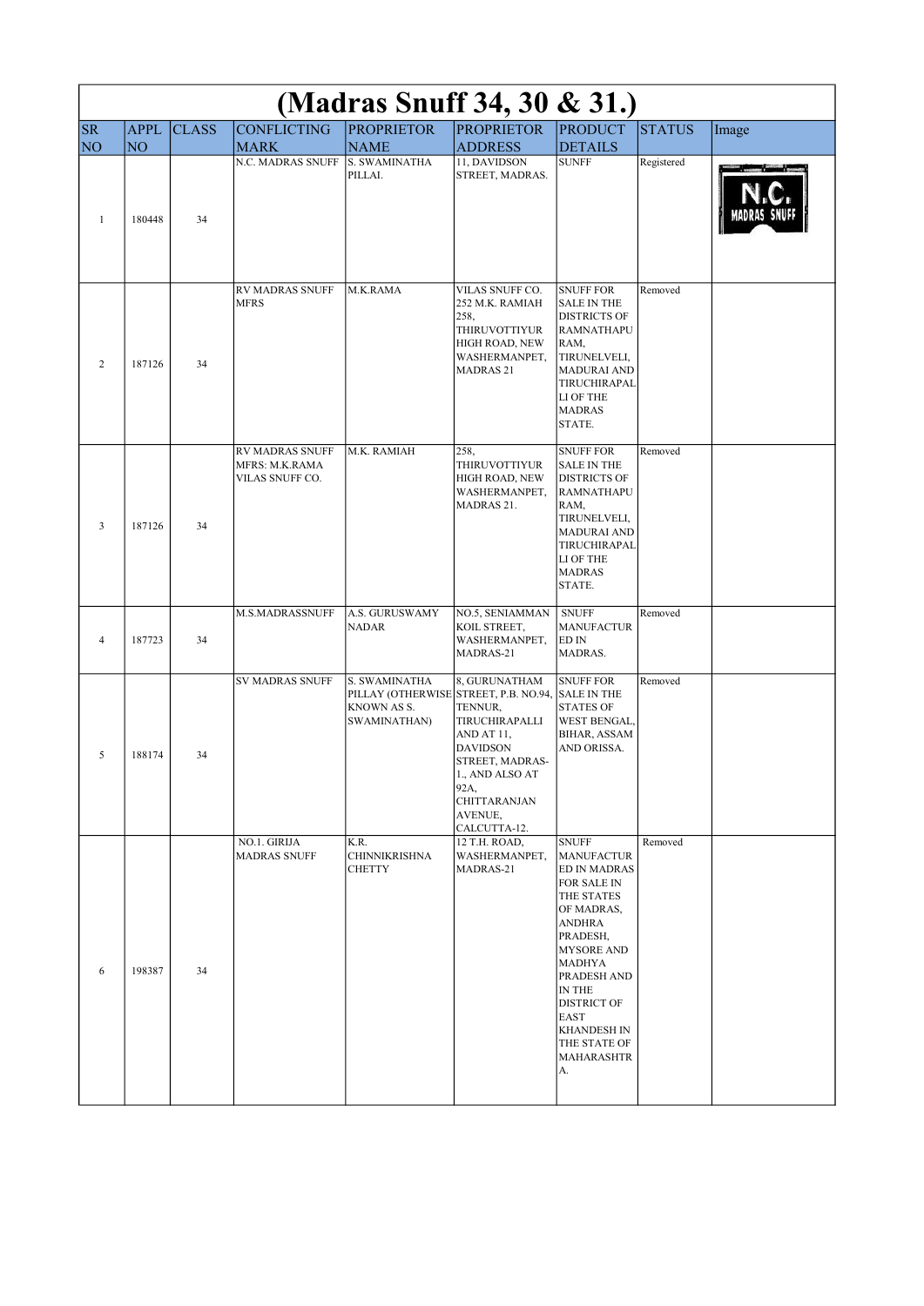| (Madras Snuff 34, 30 & 31.) |             |              |                                                             |                                                                                       |                                                                                                                                                                             |                                                                                                                                                                                                                                                                                                |               |       |  |
|-----------------------------|-------------|--------------|-------------------------------------------------------------|---------------------------------------------------------------------------------------|-----------------------------------------------------------------------------------------------------------------------------------------------------------------------------|------------------------------------------------------------------------------------------------------------------------------------------------------------------------------------------------------------------------------------------------------------------------------------------------|---------------|-------|--|
| <b>SR</b>                   | <b>APPL</b> | <b>CLASS</b> | <b>CONFLICTING</b>                                          | <b>PROPRIETOR</b>                                                                     | <b>PROPRIETOR</b>                                                                                                                                                           | <b>PRODUCT</b>                                                                                                                                                                                                                                                                                 | <b>STATUS</b> | Image |  |
| NO <sub>1</sub>             | NO          |              | <b>MARK</b><br><b>N.C. MADRAS SNUFF</b>                     | <b>NAME</b><br>S. SWAMINATHA<br>PILLAI.                                               | <b>ADDRESS</b><br>11, DAVIDSON<br>STREET, MADRAS.                                                                                                                           | <b>DETAILS</b><br><b>SUNFF</b>                                                                                                                                                                                                                                                                 | Registered    |       |  |
| $\mathbf{1}$                | 180448      | 34           |                                                             |                                                                                       |                                                                                                                                                                             |                                                                                                                                                                                                                                                                                                |               |       |  |
| $\overline{c}$              | 187126      | 34           | <b>RV MADRAS SNUFF</b><br><b>MFRS</b>                       | M.K.RAMA                                                                              | VILAS SNUFF CO.<br>252 M.K. RAMIAH<br>258,<br><b>THIRUVOTTIYUR</b><br>HIGH ROAD, NEW<br>WASHERMANPET,<br>MADRAS <sub>21</sub>                                               | <b>SNUFF FOR</b><br><b>SALE IN THE</b><br><b>DISTRICTS OF</b><br><b>RAMNATHAPU</b><br>RAM,<br>TIRUNELVELI,<br><b>MADURAI AND</b><br>TIRUCHIRAPAL<br>LI OF THE<br><b>MADRAS</b><br>STATE.                                                                                                       | Removed       |       |  |
| 3                           | 187126      | 34           | <b>RV MADRAS SNUFF</b><br>MFRS: M.K.RAMA<br>VILAS SNUFF CO. | M.K. RAMIAH                                                                           | 258,<br><b>THIRUVOTTIYUR</b><br>HIGH ROAD, NEW<br>WASHERMANPET,<br>MADRAS 21.                                                                                               | <b>SNUFF FOR</b><br><b>SALE IN THE</b><br><b>DISTRICTS OF</b><br><b>RAMNATHAPU</b><br>RAM,<br>TIRUNELVELI,<br><b>MADURAI AND</b><br>TIRUCHIRAPAL<br>LI OF THE<br><b>MADRAS</b><br>STATE.                                                                                                       | Removed       |       |  |
| $\overline{4}$              | 187723      | 34           | M.S.MADRASSNUFF                                             | A.S. GURUSWAMY<br><b>NADAR</b>                                                        | NO.5, SENIAMMAN<br>KOIL STREET,<br>WASHERMANPET,<br>MADRAS-21                                                                                                               | <b>SNUFF</b><br><b>MANUFACTUR</b><br>ED IN<br>MADRAS.                                                                                                                                                                                                                                          | Removed       |       |  |
| 5                           | 188174      | 34           | <b>SV MADRAS SNUFF</b>                                      | S. SWAMINATHA<br>PILLAY (OTHERWISE STREET, P.B. NO.94,<br>KNOWN AS S.<br>SWAMINATHAN) | 8, GURUNATHAM<br>TENNUR,<br>TIRUCHIRAPALLI<br>AND AT 11,<br><b>DAVIDSON</b><br>STREET, MADRAS-<br>1., AND ALSO AT<br>92A,<br><b>CHITTARANJAN</b><br>AVENUE,<br>CALCUTTA-12. | <b>SNUFF FOR</b><br><b>SALE IN THE</b><br><b>STATES OF</b><br>WEST BENGAL,<br>BIHAR, ASSAM<br>AND ORISSA.                                                                                                                                                                                      | Removed       |       |  |
| 6                           | 198387      | 34           | NO.1. GIRIJA<br><b>MADRAS SNUFF</b>                         | K.R.<br><b>CHINNIKRISHNA</b><br><b>CHETTY</b>                                         | 12 T.H. ROAD,<br>WASHERMANPET,<br>MADRAS-21                                                                                                                                 | <b>SNUFF</b><br><b>MANUFACTUR</b><br><b>ED IN MADRAS</b><br>FOR SALE IN<br>THE STATES<br>OF MADRAS,<br><b>ANDHRA</b><br>PRADESH,<br><b>MYSORE AND</b><br>MADHYA<br>PRADESH AND<br>IN THE<br><b>DISTRICT OF</b><br><b>EAST</b><br><b>KHANDESH IN</b><br>THE STATE OF<br><b>MAHARASHTR</b><br>А. | Removed       |       |  |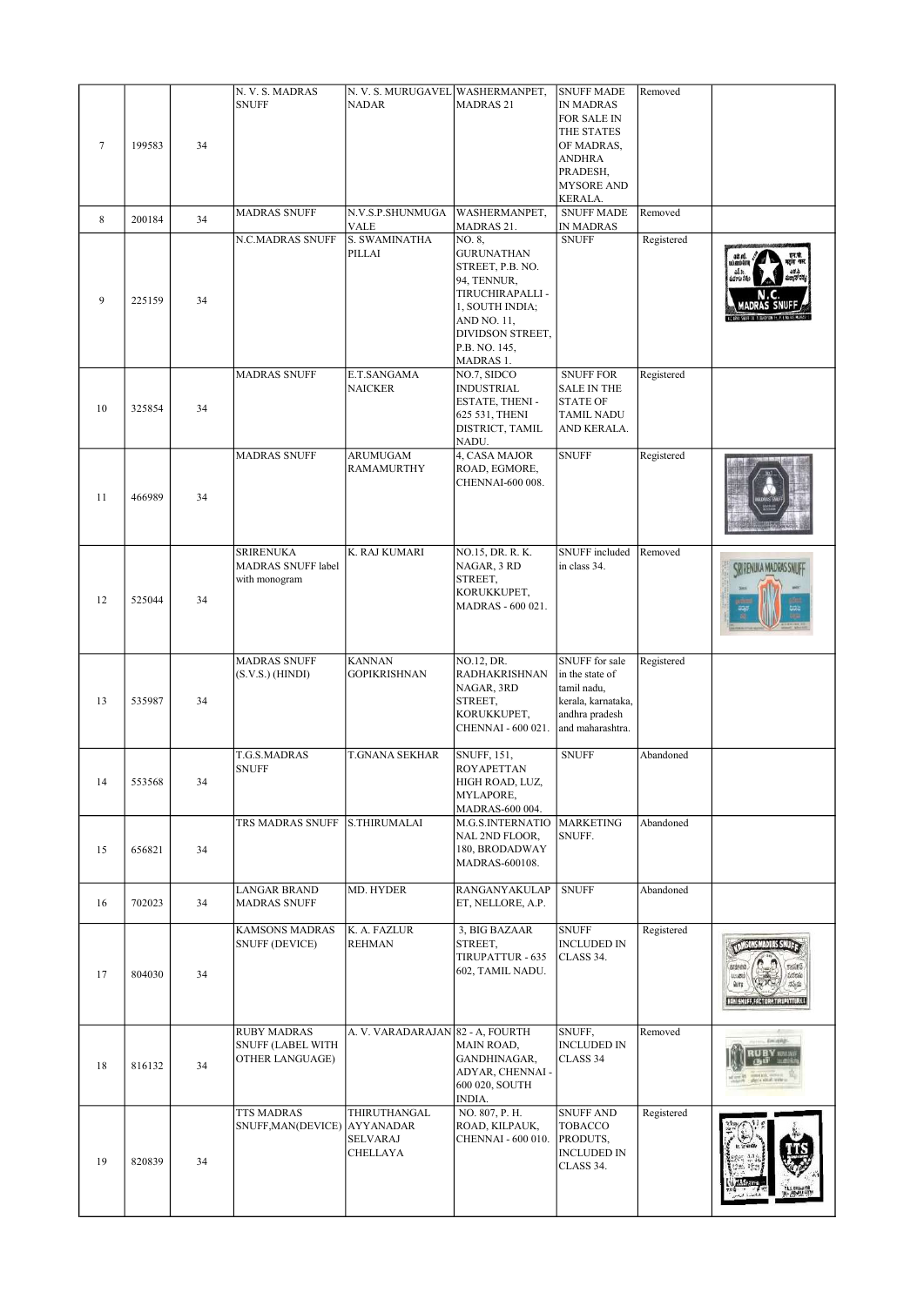| $7\phantom{.0}$<br>8 | 199583<br>200184 | 34<br>34 | N. V. S. MADRAS<br><b>SNUFF</b><br><b>MADRAS SNUFF</b>     | N. V. S. MURUGAVEL WASHERMANPET,<br><b>NADAR</b><br>N.V.S.P.SHUNMUGA<br><b>VALE</b> | <b>MADRAS 21</b><br>WASHERMANPET,<br>MADRAS 21.                                                                                                                        | <b>SNUFF MADE</b><br><b>IN MADRAS</b><br>FOR SALE IN<br>THE STATES<br>OF MADRAS,<br>ANDHRA<br>PRADESH,<br><b>MYSORE AND</b><br>KERALA.<br><b>SNUFF MADE</b><br>IN MADRAS | Removed<br>Removed |                          |
|----------------------|------------------|----------|------------------------------------------------------------|-------------------------------------------------------------------------------------|------------------------------------------------------------------------------------------------------------------------------------------------------------------------|--------------------------------------------------------------------------------------------------------------------------------------------------------------------------|--------------------|--------------------------|
| 9                    | 225159           | 34       | N.C.MADRAS SNUFF                                           | S. SWAMINATHA<br>PILLAI                                                             | NO. 8,<br><b>GURUNATHAN</b><br>STREET, P.B. NO.<br>94, TENNUR,<br>TIRUCHIRAPALLI -<br>1, SOUTH INDIA;<br>AND NO. 11,<br>DIVIDSON STREET,<br>P.B. NO. 145,<br>MADRAS 1. | <b>SNUFF</b>                                                                                                                                                             | Registered         |                          |
| 10                   | 325854           | 34       | <b>MADRAS SNUFF</b>                                        | E.T.SANGAMA<br><b>NAICKER</b>                                                       | NO.7, SIDCO<br><b>INDUSTRIAL</b><br>ESTATE, THENI -<br>625 531, THENI<br>DISTRICT, TAMIL<br>NADU.                                                                      | <b>SNUFF FOR</b><br><b>SALE IN THE</b><br><b>STATE OF</b><br><b>TAMIL NADU</b><br>AND KERALA.                                                                            | Registered         |                          |
| 11                   | 466989           | 34       | <b>MADRAS SNUFF</b>                                        | <b>ARUMUGAM</b><br>RAMAMURTHY                                                       | 4, CASA MAJOR<br>ROAD, EGMORE,<br>CHENNAI-600 008.                                                                                                                     | <b>SNUFF</b>                                                                                                                                                             | Registered         |                          |
| 12                   | 525044           | 34       | <b>SRIRENUKA</b><br>MADRAS SNUFF label<br>with monogram    | K. RAJ KUMARI                                                                       | NO.15, DR. R. K.<br>NAGAR, 3 RD<br>STREET,<br>KORUKKUPET,<br>MADRAS - 600 021.                                                                                         | SNUFF included<br>in class 34.                                                                                                                                           | Removed            |                          |
| 13                   | 535987           | 34       | <b>MADRAS SNUFF</b><br>$(S.V.S.)$ (HINDI)                  | <b>KANNAN</b><br><b>GOPIKRISHNAN</b>                                                | NO.12, DR.<br><b>RADHAKRISHNAN</b><br>NAGAR, 3RD<br>STREET,<br>KORUKKUPET,<br>CHENNAI - 600 021.                                                                       | SNUFF for sale<br>in the state of<br>tamil nadu,<br>kerala, karnataka,<br>andhra pradesh<br>and maharashtra.                                                             | Registered         |                          |
| 14                   | 553568           | 34       | T.G.S.MADRAS<br><b>SNUFF</b>                               | <b>T.GNANA SEKHAR</b>                                                               | SNUFF, 151,<br><b>ROYAPETTAN</b><br>HIGH ROAD, LUZ,<br>MYLAPORE,<br>MADRAS-600 004.                                                                                    | <b>SNUFF</b>                                                                                                                                                             | Abandoned          |                          |
| 15                   | 656821           | 34       | TRS MADRAS SNUFF                                           | S.THIRUMALAI                                                                        | M.G.S.INTERNATIO<br>NAL 2ND FLOOR,<br>180, BRODADWAY<br>MADRAS-600108.                                                                                                 | <b>MARKETING</b><br>SNUFF.                                                                                                                                               | Abandoned          |                          |
| 16                   | 702023           | 34       | <b>LANGAR BRAND</b><br><b>MADRAS SNUFF</b>                 | MD. HYDER                                                                           | <b>RANGANYAKULAP</b><br>ET, NELLORE, A.P.                                                                                                                              | <b>SNUFF</b>                                                                                                                                                             | Abandoned          |                          |
| 17                   | 804030           | 34       | <b>KAMSONS MADRAS</b><br><b>SNUFF (DEVICE)</b>             | K. A. FAZLUR<br><b>REHMAN</b>                                                       | 3, BIG BAZAAR<br>STREET,<br>TIRUPATTUR - 635<br>602, TAMIL NADU.                                                                                                       | <b>SNUFF</b><br><b>INCLUDED IN</b><br>CLASS 34.                                                                                                                          | Registered         | <b>MISONS MADDES SNU</b> |
| 18                   | 816132           | 34       | <b>RUBY MADRAS</b><br>SNUFF (LABEL WITH<br>OTHER LANGUAGE) | A. V. VARADARAJAN 82 - A, FOURTH                                                    | MAIN ROAD,<br>GANDHINAGAR,<br>ADYAR, CHENNAI -<br>600 020, SOUTH<br>INDIA.                                                                                             | SNUFF,<br><b>INCLUDED IN</b><br>CLASS 34                                                                                                                                 | Removed            |                          |
| 19                   | 820839           | 34       | <b>TTS MADRAS</b><br>SNUFF, MAN(DEVICE) AYYANADAR          | THIRUTHANGAL<br>SELVARAJ<br>CHELLAYA                                                | NO. 807, P. H.<br>ROAD, KILPAUK,<br>CHENNAI - 600 010.                                                                                                                 | <b>SNUFF AND</b><br>TOBACCO<br>PRODUTS,<br>INCLUDED IN<br>CLASS 34.                                                                                                      | Registered         |                          |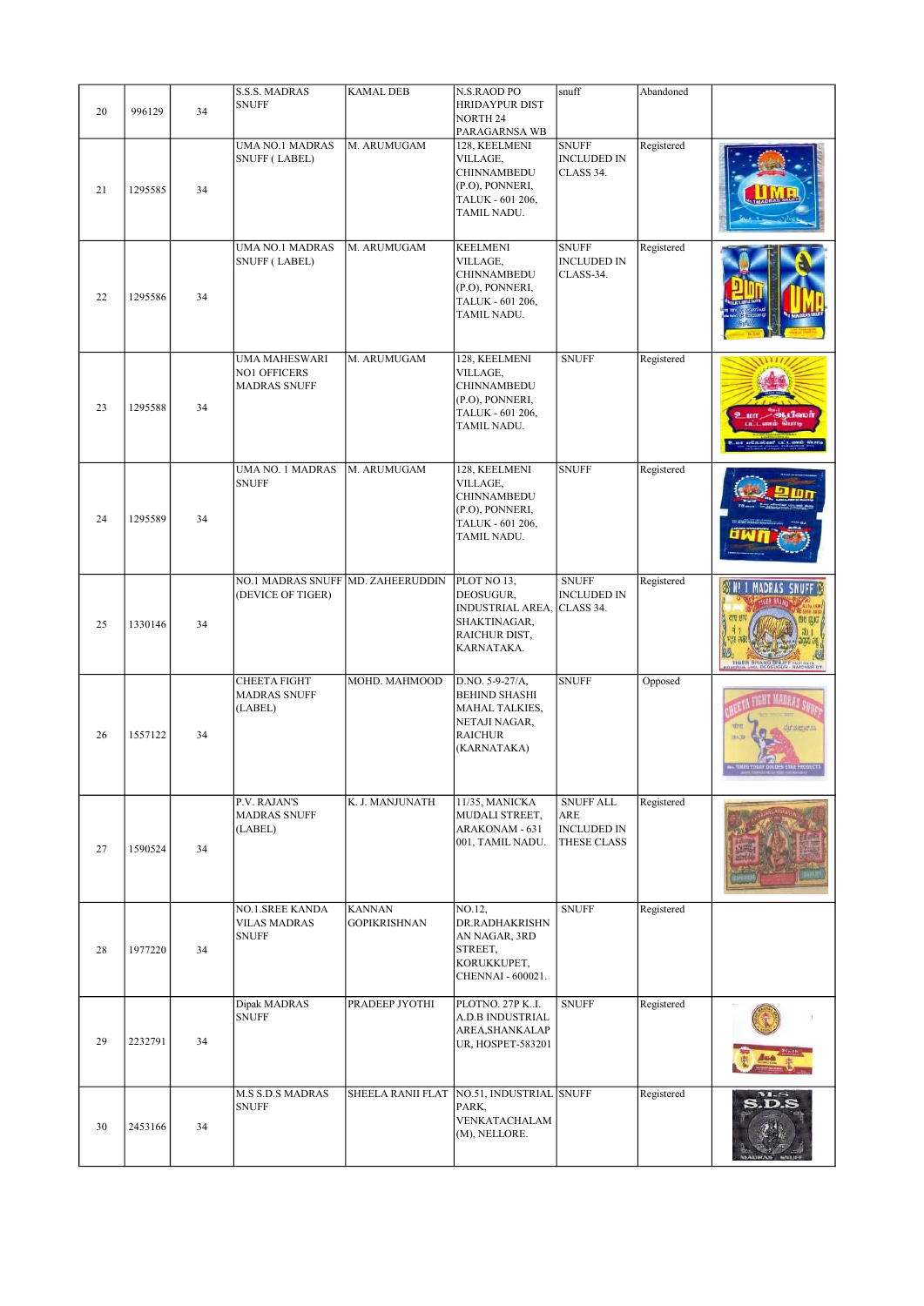|    |         |    | <b>S.S.S. MADRAS</b>                                          | <b>KAMAL DEB</b>                          | N.S.RAOD PO                                                                                                 | snuff                                                        | Abandoned  |                 |
|----|---------|----|---------------------------------------------------------------|-------------------------------------------|-------------------------------------------------------------------------------------------------------------|--------------------------------------------------------------|------------|-----------------|
| 20 | 996129  | 34 | <b>SNUFF</b>                                                  |                                           | <b>HRIDAYPUR DIST</b><br><b>NORTH 24</b><br>PARAGARNSA WB                                                   |                                                              |            |                 |
| 21 | 1295585 | 34 | <b>UMA NO.1 MADRAS</b><br><b>SNUFF (LABEL)</b>                | M. ARUMUGAM                               | 128, KEELMENI<br>VILLAGE,<br><b>CHINNAMBEDU</b><br>(P.O), PONNERI,<br>TALUK - 601 206,<br>TAMIL NADU.       | <b>SNUFF</b><br><b>INCLUDED IN</b><br>CLASS 34.              | Registered |                 |
| 22 | 1295586 | 34 | <b>UMA NO.1 MADRAS</b><br><b>SNUFF (LABEL)</b>                | M. ARUMUGAM                               | <b>KEELMENI</b><br>VILLAGE,<br>CHINNAMBEDU<br>(P.O), PONNERI,<br>TALUK - 601 206,<br>TAMIL NADU.            | <b>SNUFF</b><br><b>INCLUDED IN</b><br>CLASS-34.              | Registered |                 |
| 23 | 1295588 | 34 | <b>UMA MAHESWARI</b><br>NO1 OFFICERS<br><b>MADRAS SNUFF</b>   | M. ARUMUGAM                               | 128, KEELMENI<br>VILLAGE,<br>CHINNAMBEDU<br>(P.O), PONNERI,<br>TALUK - 601 206,<br>TAMIL NADU.              | <b>SNUFF</b>                                                 | Registered |                 |
| 24 | 1295589 | 34 | <b>UMA NO. 1 MADRAS</b><br><b>SNUFF</b>                       | M. ARUMUGAM                               | 128, KEELMENI<br>VILLAGE,<br>CHINNAMBEDU<br>(P.O), PONNERI,<br>TALUK - 601 206,<br>TAMIL NADU.              | <b>SNUFF</b>                                                 | Registered |                 |
| 25 | 1330146 | 34 | NO.1 MADRAS SNUFF MD. ZAHEERUDDIN<br>(DEVICE OF TIGER)        |                                           | PLOT NO 13,<br>DEOSUGUR,<br><b>INDUSTRIAL AREA,</b><br>SHAKTINAGAR,<br>RAICHUR DIST,<br>KARNATAKA.          | <b>SNUFF</b><br><b>INCLUDED IN</b><br>CLASS 34.              | Registered | MADRAS SNUFF    |
| 26 | 1557122 | 34 | CHEETA FIGHT<br><b>MADRAS SNUFF</b><br>(LABEL)                | MOHD. MAHMOOD                             | D.NO. 5-9-27/A,<br><b>BEHIND SHASHI</b><br>MAHAL TALKIES,<br>NETAJI NAGAR,<br><b>RAICHUR</b><br>(KARNATAKA) | <b>SNUFF</b>                                                 | Opposed    | <b>Stenetzi</b> |
| 27 | 1590524 | 34 | P.V. RAJAN'S<br><b>MADRAS SNUFF</b><br>(LABEL)                | K. J. MANJUNATH                           | 11/35, MANICKA<br>MUDALI STREET,<br>ARAKONAM - 631<br>001, TAMIL NADU.                                      | <b>SNUFF ALL</b><br>ARE<br><b>INCLUDED IN</b><br>THESE CLASS | Registered |                 |
| 28 | 1977220 | 34 | <b>NO.1.SREE KANDA</b><br><b>VILAS MADRAS</b><br><b>SNUFF</b> | <b>KANNAN</b><br><b>GOPIKRISHNAN</b>      | NO.12,<br>DR.RADHAKRISHN<br>AN NAGAR, 3RD<br>STREET,<br>KORUKKUPET,<br>CHENNAI - 600021.                    | <b>SNUFF</b>                                                 | Registered |                 |
| 29 | 2232791 | 34 | Dipak MADRAS<br><b>SNUFF</b>                                  | PRADEEP JYOTHI                            | PLOTNO. 27P KI.<br>A.D.B INDUSTRIAL<br>AREA, SHANKALAP<br>UR, HOSPET-583201                                 | <b>SNUFF</b>                                                 | Registered |                 |
| 30 | 2453166 | 34 | <b>M.S S.D.S MADRAS</b><br><b>SNUFF</b>                       | SHEELA RANII FLAT NO.51, INDUSTRIAL SNUFF | PARK,<br>VENKATACHALAM<br>(M), NELLORE.                                                                     |                                                              | Registered | <b>S.D.S</b>    |